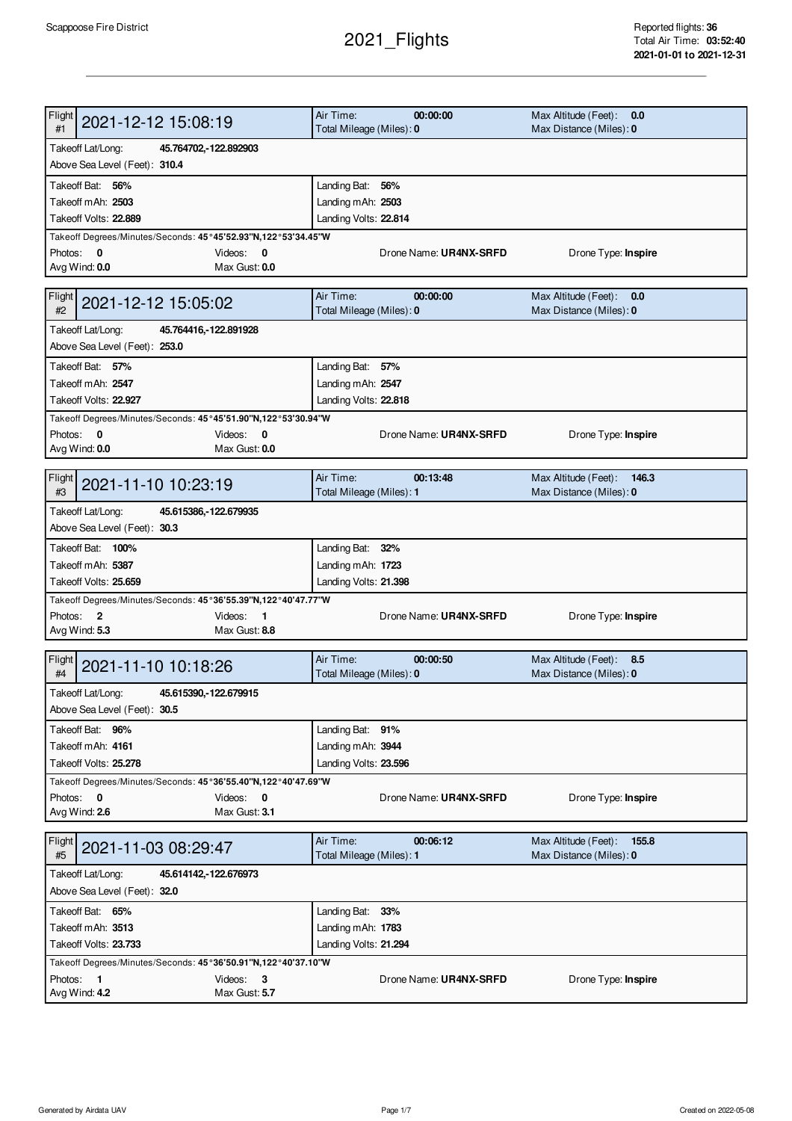## 2021\_Flights

| Flight<br>2021-12-12 15:08:19<br>#1                                          | Air Time:<br>00:00:00<br>Total Mileage (Miles): 0 | Max Altitude (Feet):<br>0.0<br>Max Distance (Miles): 0   |
|------------------------------------------------------------------------------|---------------------------------------------------|----------------------------------------------------------|
| Takeoff Lat/Long:<br>45.764702, -122.892903<br>Above Sea Level (Feet): 310.4 |                                                   |                                                          |
| Takeoff Bat: 56%                                                             | Landing Bat: 56%                                  |                                                          |
| Takeoff mAh: 2503                                                            | Landing mAh: 2503                                 |                                                          |
| Takeoff Volts: 22.889                                                        | Landing Volts: 22.814                             |                                                          |
| Takeoff Degrees/Minutes/Seconds: 45°45'52.93"N,122°53'34.45"W                |                                                   |                                                          |
| Photos: 0<br>Videos:<br>0                                                    | Drone Name: UR4NX-SRFD                            | Drone Type: Inspire                                      |
| Max Gust: 0.0<br>Avg Wind: 0.0                                               |                                                   |                                                          |
| Flight<br>2021-12-12 15:05:02<br>#2                                          | Air Time:<br>00:00:00<br>Total Mileage (Miles): 0 | Max Altitude (Feet): 0.0<br>Max Distance (Miles): 0      |
| Takeoff Lat/Long:<br>45.764416, 122.891928                                   |                                                   |                                                          |
| Above Sea Level (Feet): 253.0                                                |                                                   |                                                          |
| Takeoff Bat: 57%                                                             | Landing Bat: 57%                                  |                                                          |
| Takeoff mAh: 2547                                                            | Landing mAh: 2547                                 |                                                          |
| Takeoff Volts: 22.927                                                        | Landing Volts: 22.818                             |                                                          |
| Takeoff Degrees/Minutes/Seconds: 45°45'51.90"N,122°53'30.94"W                |                                                   |                                                          |
| Photos: 0<br>Videos: 0                                                       | Drone Name: UR4NX-SRFD                            | Drone Type: Inspire                                      |
| Avg Wind: 0.0<br>Max Gust: 0.0                                               |                                                   |                                                          |
|                                                                              |                                                   |                                                          |
| Flight<br>2021-11-10 10:23:19                                                | Air Time:<br>00:13:48                             | Max Altitude (Feet):<br>146.3                            |
| #3                                                                           | Total Mileage (Miles): 1                          | Max Distance (Miles): 0                                  |
| Takeoff Lat/Long:<br>45.615386, 122.679935                                   |                                                   |                                                          |
| Above Sea Level (Feet): 30.3                                                 |                                                   |                                                          |
| Takeoff Bat: 100%                                                            | Landing Bat: 32%                                  |                                                          |
| Takeoff mAh: 5387                                                            | Landing mAh: 1723                                 |                                                          |
| Takeoff Volts: 25.659                                                        | Landing Volts: 21.398                             |                                                          |
| Takeoff Degrees/Minutes/Seconds: 45°36'55.39"N,122°40'47.77"W                |                                                   |                                                          |
| Photos: 2<br>Videos: 1                                                       | Drone Name: UR4NX-SRFD                            | Drone Type: Inspire                                      |
| Max Gust: 8.8<br>Avg Wind: 5.3                                               |                                                   |                                                          |
| Flight<br>2021-11-10 10:18:26<br>#4                                          | Air Time:<br>00:00:50<br>Total Mileage (Miles): 0 | Max Altitude (Feet): 8.5<br>Max Distance (Miles): 0      |
| Takeoff Lat/Long:<br>45.615390, 122.679915                                   |                                                   |                                                          |
| Above Sea Level (Feet): 30.5                                                 |                                                   |                                                          |
| Takeoff Bat: 96%                                                             | Landing Bat: 91%                                  |                                                          |
| Takeoff mAh: 4161                                                            | Landing mAh: 3944                                 |                                                          |
| Takeoff Volts: 25.278                                                        | Landing Volts: 23.596                             |                                                          |
| Takeoff Degrees/Minutes/Seconds: 45°36'55.40"N,122°40'47.69"W                |                                                   |                                                          |
| Photos: 0<br>Videos: 0                                                       | Drone Name: UR4NX-SRFD                            | Drone Type: Inspire                                      |
| Avg Wind: 2.6<br>Max Gust: 3.1                                               |                                                   |                                                          |
|                                                                              |                                                   |                                                          |
| Flight<br>2021-11-03 08:29:47<br>#5                                          | Air Time:<br>00:06:12<br>Total Mileage (Miles): 1 | Max Altitude (Feet):<br>155.8<br>Max Distance (Miles): 0 |
| Takeoff Lat/Long:<br>45.614142, 122.676973                                   |                                                   |                                                          |
| Above Sea Level (Feet): 32.0                                                 |                                                   |                                                          |
| Takeoff Bat: 65%                                                             | Landing Bat: 33%                                  |                                                          |
| Takeoff mAh: 3513                                                            | Landing mAh: 1783                                 |                                                          |
| Takeoff Volts: 23.733                                                        | Landing Volts: 21.294                             |                                                          |
| Takeoff Degrees/Minutes/Seconds: 45°36'50.91"N,122°40'37.10"W                |                                                   |                                                          |
| Photos: 1<br>Videos: 3                                                       | Drone Name: UR4NX-SRFD                            | Drone Type: Inspire                                      |
| Avg Wind: 4.2<br>Max Gust: 5.7                                               |                                                   |                                                          |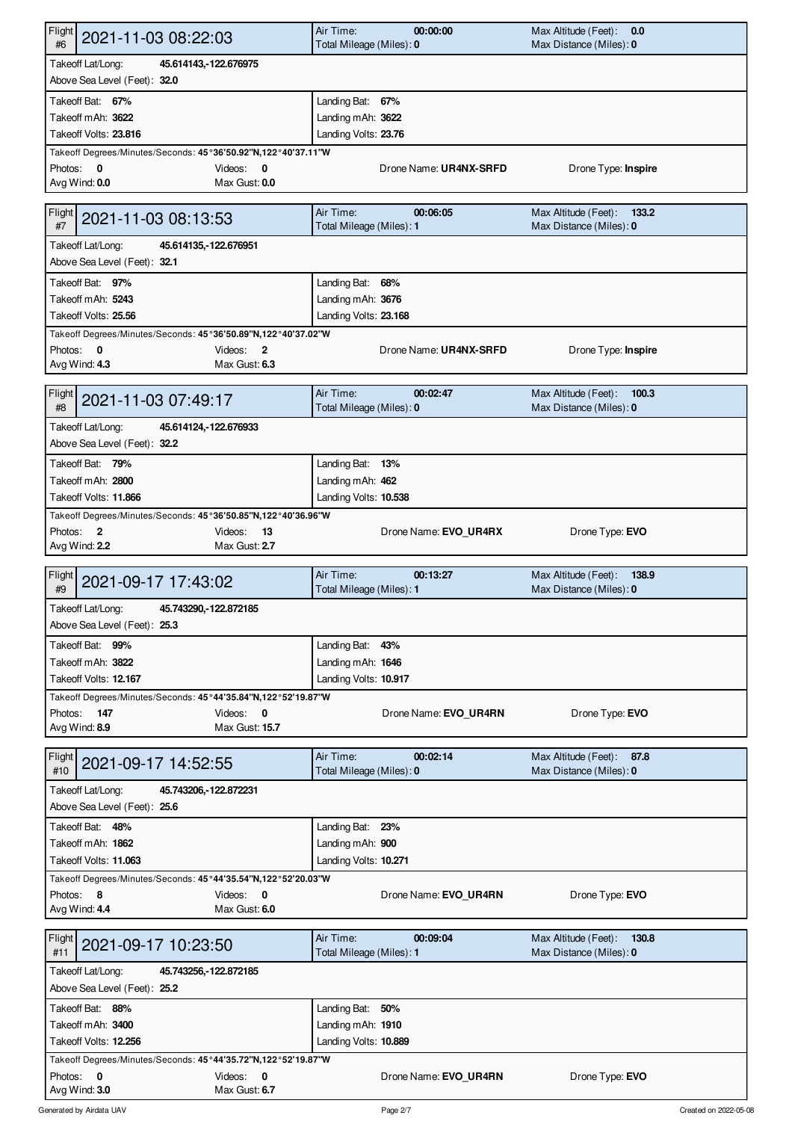| Flight<br>2021-11-03 08:22:03<br>#6                                                                                           | Air Time:<br>00:00:00<br>Total Mileage (Miles): 0 | Max Altitude (Feet): 0.0<br>Max Distance (Miles): 0      |
|-------------------------------------------------------------------------------------------------------------------------------|---------------------------------------------------|----------------------------------------------------------|
| Takeoff Lat/Long:<br>45.614143, 122.676975<br>Above Sea Level (Feet): 32.0                                                    |                                                   |                                                          |
| Takeoff Bat: 67%                                                                                                              | Landing Bat: 67%                                  |                                                          |
| Takeoff mAh: 3622                                                                                                             | Landing mAh: 3622                                 |                                                          |
| Takeoff Volts: 23.816<br>Takeoff Degrees/Minutes/Seconds: 45°36'50.92"N,122°40'37.11"W                                        | Landing Volts: 23.76                              |                                                          |
| Photos: 0<br>Videos:<br>0                                                                                                     | Drone Name: UR4NX-SRFD                            | Drone Type: Inspire                                      |
| Avg Wind: 0.0<br>Max Gust: 0.0                                                                                                |                                                   |                                                          |
| Flight<br>2021-11-03 08:13:53<br>#7                                                                                           | Air Time:<br>00:06:05<br>Total Mileage (Miles): 1 | Max Altitude (Feet):<br>133.2<br>Max Distance (Miles): 0 |
| Takeoff Lat/Long:<br>45.614135, -122.676951<br>Above Sea Level (Feet): 32.1                                                   |                                                   |                                                          |
| Takeoff Bat: 97%                                                                                                              | Landing Bat: 68%                                  |                                                          |
| Takeoff mAh: 5243                                                                                                             | Landing mAh: 3676                                 |                                                          |
| Takeoff Volts: 25.56                                                                                                          | Landing Volts: 23.168                             |                                                          |
| Takeoff Degrees/Minutes/Seconds: 45°36'50.89"N,122°40'37.02"W<br>Photos: 0<br>Videos: 2<br>Max Gust: 6.3<br>Avg Wind: 4.3     | Drone Name: UR4NX-SRFD                            | Drone Type: Inspire                                      |
| Flight<br>2021-11-03 07:49:17<br>#8                                                                                           | Air Time:<br>00:02:47<br>Total Mileage (Miles): 0 | Max Altitude (Feet):<br>100.3<br>Max Distance (Miles): 0 |
| Takeoff Lat/Long:<br>45.614124, 122.676933                                                                                    |                                                   |                                                          |
| Above Sea Level (Feet): 32.2                                                                                                  |                                                   |                                                          |
| Takeoff Bat: 79%                                                                                                              | Landing Bat: 13%                                  |                                                          |
| Takeoff mAh: 2800                                                                                                             | Landing mAh: 462                                  |                                                          |
| Takeoff Volts: 11.866                                                                                                         | Landing Volts: 10.538                             |                                                          |
| Takeoff Degrees/Minutes/Seconds: 45°36'50.85"N,122°40'36.96"W<br>Photos: 2<br>Videos:<br>13<br>Avg Wind: 2.2<br>Max Gust: 2.7 | Drone Name: EVO_UR4RX                             | Drone Type: EVO                                          |
|                                                                                                                               |                                                   |                                                          |
|                                                                                                                               |                                                   |                                                          |
| Flight<br>2021-09-17 17:43:02<br>#9                                                                                           | Air Time:<br>00:13:27<br>Total Mileage (Miles): 1 | Max Altitude (Feet):<br>138.9<br>Max Distance (Miles): 0 |
| Takeoff Lat/Long:<br>45.743290, 122.872185                                                                                    |                                                   |                                                          |
| Above Sea Level (Feet): 25.3                                                                                                  |                                                   |                                                          |
| Takeoff Bat: 99%<br>Takeoff mAh: 3822                                                                                         | Landing Bat: 43%<br>Landing mAh: 1646             |                                                          |
| Takeoff Volts: 12.167                                                                                                         | Landing Volts: 10.917                             |                                                          |
| Takeoff Degrees/Minutes/Seconds: 45°44'35.84"N,122°52'19.87"W                                                                 |                                                   |                                                          |
| Videos: 0<br>Photos: 147                                                                                                      | Drone Name: EVO_UR4RN                             | Drone Type: EVO                                          |
| Avg Wind: 8.9<br>Max Gust: 15.7                                                                                               |                                                   |                                                          |
| Flight<br>2021-09-17 14:52:55<br>#10                                                                                          | Air Time:<br>00:02:14<br>Total Mileage (Miles): 0 | Max Altitude (Feet): 87.8<br>Max Distance (Miles): 0     |
| Takeoff Lat/Long:<br>45.743206, - 122.872231                                                                                  |                                                   |                                                          |
| Above Sea Level (Feet): 25.6                                                                                                  |                                                   |                                                          |
| Takeoff Bat: 48%                                                                                                              | Landing Bat: 23%                                  |                                                          |
| Takeoff mAh: 1862<br>Takeoff Volts: 11.063                                                                                    | Landing mAh: 900<br>Landing Volts: 10.271         |                                                          |
| Takeoff Degrees/Minutes/Seconds: 45°44'35.54"N,122°52'20.03"W                                                                 |                                                   |                                                          |
| Photos: 8<br>$\mathbf 0$<br>Videos:                                                                                           | Drone Name: EVO UR4RN                             | Drone Type: <b>EVO</b>                                   |
| Max Gust: 6.0<br>Avg Wind: 4.4                                                                                                |                                                   |                                                          |
| Flight<br>2021-09-17 10:23:50<br>#11                                                                                          | Air Time:<br>00:09:04<br>Total Mileage (Miles): 1 | Max Altitude (Feet):<br>130.8<br>Max Distance (Miles): 0 |
| Takeoff Lat/Long:<br>45.743256, -122.872185                                                                                   |                                                   |                                                          |
| Above Sea Level (Feet): 25.2                                                                                                  |                                                   |                                                          |
| Takeoff Bat: 88%<br>Takeoff mAh: 3400                                                                                         | Landing Bat: 50%                                  |                                                          |
| Takeoff Volts: 12.256                                                                                                         | Landing mAh: 1910<br>Landing Volts: 10.889        |                                                          |
| Takeoff Degrees/Minutes/Seconds: 45°44'35.72"N,122°52'19.87"W<br>Photos: 0<br>Videos: 0                                       | Drone Name: EVO_UR4RN                             | Drone Type: EVO                                          |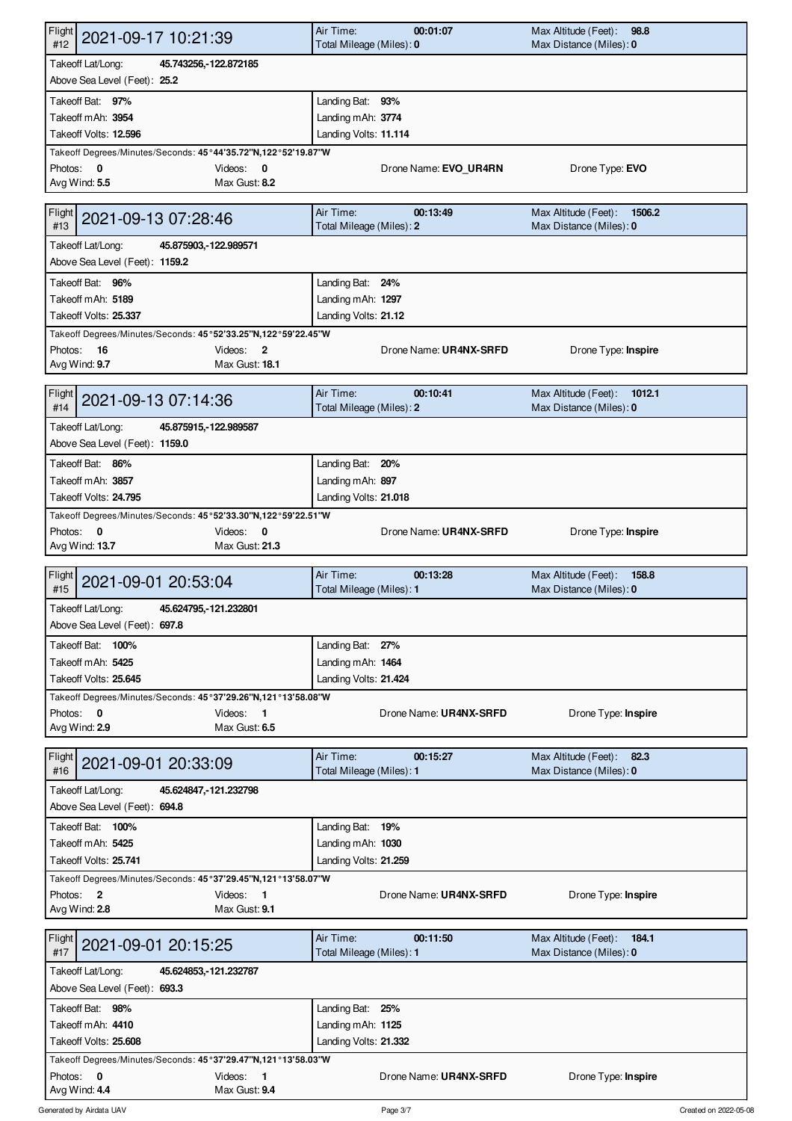| Flight<br>2021-09-17 10:21:39<br>#12                                                   | Air Time:<br>Total Mileage (Miles): 0     | 00:01:07               | Max Altitude (Feet):<br>98.8<br>Max Distance (Miles): 0   |  |
|----------------------------------------------------------------------------------------|-------------------------------------------|------------------------|-----------------------------------------------------------|--|
| Takeoff Lat/Long:<br>45.743256, 122.872185<br>Above Sea Level (Feet): 25.2             |                                           |                        |                                                           |  |
| Takeoff Bat: 97%                                                                       | Landing Bat: 93%                          |                        |                                                           |  |
| Takeoff mAh: 3954                                                                      | Landing mAh: 3774                         |                        |                                                           |  |
| Takeoff Volts: 12.596<br>Takeoff Degrees/Minutes/Seconds: 45°44'35.72"N,122°52'19.87"W | Landing Volts: 11.114                     |                        |                                                           |  |
| Photos: 0<br>Videos:<br>0<br>Avg Wind: 5.5<br>Max Gust: 8.2                            |                                           | Drone Name: EVO UR4RN  | Drone Type: EVO                                           |  |
| Flight<br>2021-09-13 07:28:46<br>#13                                                   | Air Time:<br>Total Mileage (Miles): 2     | 00:13:49               | Max Altitude (Feet):<br>1506.2<br>Max Distance (Miles): 0 |  |
| Takeoff Lat/Long:<br>45.875903, -122.989571<br>Above Sea Level (Feet): 1159.2          |                                           |                        |                                                           |  |
| Takeoff Bat: 96%                                                                       | Landing Bat: 24%                          |                        |                                                           |  |
| Takeoff mAh: 5189<br>Takeoff Volts: 25.337                                             | Landing mAh: 1297<br>Landing Volts: 21.12 |                        |                                                           |  |
| Takeoff Degrees/Minutes/Seconds: 45°52'33.25"N,122°59'22.45"W                          |                                           |                        |                                                           |  |
| Videos:<br>Photos: 16<br>$\overline{2}$<br>Avg Wind: 9.7<br>Max Gust: 18.1             |                                           | Drone Name: UR4NX-SRFD | Drone Type: Inspire                                       |  |
| Flight<br>2021-09-13 07:14:36<br>#14                                                   | Air Time:<br>Total Mileage (Miles): 2     | 00:10:41               | Max Altitude (Feet):<br>1012.1<br>Max Distance (Miles): 0 |  |
| Takeoff Lat/Long:<br>45.875915, 122.989587<br>Above Sea Level (Feet): 1159.0           |                                           |                        |                                                           |  |
| Takeoff Bat: 86%                                                                       | Landing Bat: 20%                          |                        |                                                           |  |
| Takeoff mAh: 3857<br>Takeoff Volts: 24.795                                             | Landing mAh: 897<br>Landing Volts: 21.018 |                        |                                                           |  |
| Takeoff Degrees/Minutes/Seconds: 45°52'33.30"N,122°59'22.51"W                          |                                           |                        |                                                           |  |
| Photos: 0<br>Videos:<br>0<br>Avg Wind: 13.7<br>Max Gust: 21.3                          |                                           | Drone Name: UR4NX-SRFD | Drone Type: Inspire                                       |  |
|                                                                                        |                                           |                        |                                                           |  |
| Flight<br>2021-09-01 20:53:04<br>#15                                                   | Air Time:<br>Total Mileage (Miles): 1     | 00:13:28               | Max Altitude (Feet):<br>158.8<br>Max Distance (Miles): 0  |  |
| Takeoff Lat/Long:<br>45.624795, 121.232801<br>Above Sea Level (Feet): 697.8            |                                           |                        |                                                           |  |
| Takeoff Bat: 100%                                                                      | Landing Bat: 27%                          |                        |                                                           |  |
| Takeoff mAh: 5425                                                                      | Landing mAh: 1464                         |                        |                                                           |  |
| Takeoff Volts: 25.645<br>Takeoff Degrees/Minutes/Seconds: 45°37'29.26"N,121°13'58.08"W | Landing Volts: 21.424                     |                        |                                                           |  |
| Videos: 1<br>Photos: 0<br>Avg Wind: 2.9<br>Max Gust: 6.5                               |                                           | Drone Name: UR4NX-SRFD | Drone Type: Inspire                                       |  |
| Flight<br>2021-09-01 20:33:09<br>#16                                                   | Air Time:<br>Total Mileage (Miles): 1     | 00:15:27               | Max Altitude (Feet):<br>82.3<br>Max Distance (Miles): 0   |  |
| Takeoff Lat/Long:<br>45.624847, 121.232798<br>Above Sea Level (Feet): 694.8            |                                           |                        |                                                           |  |
| Takeoff Bat: 100%                                                                      | Landing Bat: 19%                          |                        |                                                           |  |
| Takeoff mAh: 5425                                                                      | Landing mAh: 1030                         |                        |                                                           |  |
| Takeoff Volts: 25.741<br>Takeoff Degrees/Minutes/Seconds: 45°37'29.45"N,121°13'58.07"W | Landing Volts: 21.259                     |                        |                                                           |  |
| Photos: 2<br>Videos:<br>$\blacksquare$<br>Max Gust: 9.1<br>Avg Wind: 2.8               |                                           | Drone Name: UR4NX-SRFD | Drone Type: Inspire                                       |  |
| Flight<br>2021-09-01 20:15:25<br>#17                                                   | Air Time:<br>Total Mileage (Miles): 1     | 00:11:50               | Max Altitude (Feet):<br>184.1<br>Max Distance (Miles): 0  |  |
| Takeoff Lat/Long:<br>45.624853, 121.232787<br>Above Sea Level (Feet): 693.3            |                                           |                        |                                                           |  |
| Takeoff Bat: 98%                                                                       | Landing Bat: 25%                          |                        |                                                           |  |
| Takeoff mAh: 4410                                                                      | Landing mAh: 1125                         |                        |                                                           |  |
| Takeoff Volts: 25.608<br>Takeoff Degrees/Minutes/Seconds: 45°37'29.47"N,121°13'58.03"W | Landing Volts: 21.332                     |                        |                                                           |  |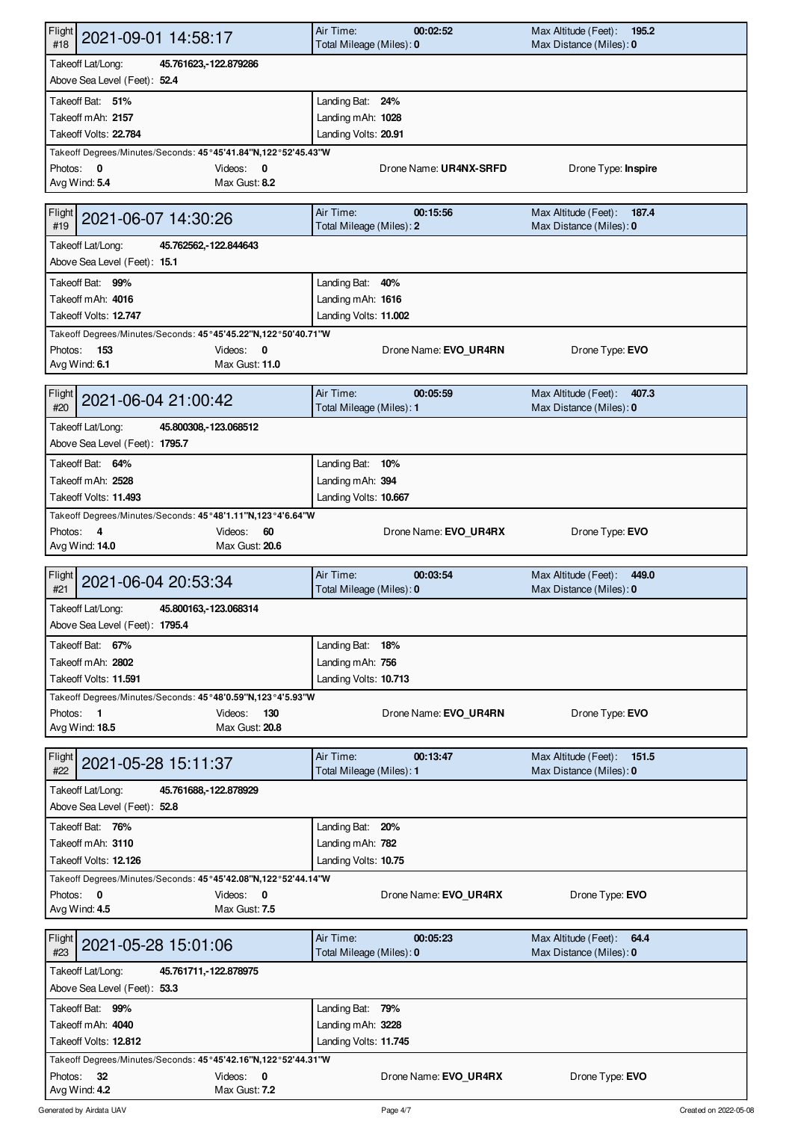| Flight<br>2021-09-01 14:58:17<br>#18                                                                                         | Air Time:<br>00:02:52<br>Total Mileage (Miles): 0 | Max Altitude (Feet):<br>195.2<br>Max Distance (Miles): 0 |
|------------------------------------------------------------------------------------------------------------------------------|---------------------------------------------------|----------------------------------------------------------|
| Takeoff Lat/Long:<br>45.761623, 122.879286<br>Above Sea Level (Feet): 52.4                                                   |                                                   |                                                          |
| Takeoff Bat: 51%                                                                                                             | Landing Bat: 24%                                  |                                                          |
| Takeoff mAh: 2157                                                                                                            | Landing mAh: 1028                                 |                                                          |
| Takeoff Volts: 22.784<br>Takeoff Degrees/Minutes/Seconds: 45°45'41.84"N,122°52'45.43"W                                       | Landing Volts: 20.91                              |                                                          |
| Photos: 0<br>Videos:<br>0                                                                                                    | Drone Name: UR4NX-SRFD                            | Drone Type: Inspire                                      |
| Avg Wind: 5.4<br>Max Gust: 8.2                                                                                               |                                                   |                                                          |
| Flight<br>2021-06-07 14:30:26<br>#19                                                                                         | Air Time:<br>00:15:56<br>Total Mileage (Miles): 2 | Max Altitude (Feet):<br>187.4<br>Max Distance (Miles): 0 |
| Takeoff Lat/Long:<br>45.762562, 122.844643<br>Above Sea Level (Feet): 15.1                                                   |                                                   |                                                          |
| Takeoff Bat: 99%                                                                                                             | Landing Bat: 40%                                  |                                                          |
| Takeoff mAh: 4016                                                                                                            | Landing mAh: 1616                                 |                                                          |
| Takeoff Volts: 12.747                                                                                                        | Landing Volts: 11.002                             |                                                          |
| Takeoff Degrees/Minutes/Seconds: 45°45'45.22"N,122°50'40.71"W<br>Videos: 0<br>Photos: 153<br>Max Gust: 11.0<br>Avg Wind: 6.1 | Drone Name: EVO_UR4RN                             | Drone Type: EVO                                          |
| Flight<br>2021-06-04 21:00:42<br>#20                                                                                         | Air Time:<br>00:05:59<br>Total Mileage (Miles): 1 | Max Altitude (Feet):<br>407.3<br>Max Distance (Miles): 0 |
| Takeoff Lat/Long:<br>45.800308, 123.068512                                                                                   |                                                   |                                                          |
| Above Sea Level (Feet): 1795.7                                                                                               |                                                   |                                                          |
| Takeoff Bat: 64%                                                                                                             | Landing Bat: 10%                                  |                                                          |
| Takeoff mAh: 2528<br>Takeoff Volts: 11.493                                                                                   | Landing mAh: 394<br>Landing Volts: 10.667         |                                                          |
| Takeoff Degrees/Minutes/Seconds: 45°48'1.11"N,123°4'6.64"W                                                                   |                                                   |                                                          |
| Photos: 4<br>60<br>Videos:                                                                                                   | Drone Name: EVO_UR4RX                             | Drone Type: EVO                                          |
| Avg Wind: 14.0<br>Max Gust: 20.6                                                                                             |                                                   |                                                          |
|                                                                                                                              |                                                   |                                                          |
| Flight<br>2021-06-04 20:53:34<br>#21                                                                                         | Air Time:<br>00:03:54<br>Total Mileage (Miles): 0 | Max Altitude (Feet):<br>449.0<br>Max Distance (Miles): 0 |
| Takeoff Lat/Long:<br>45.800163, 123.068314                                                                                   |                                                   |                                                          |
| Above Sea Level (Feet): 1795.4                                                                                               |                                                   |                                                          |
| Takeoff Bat: 67%<br>Takeoff mAh: 2802                                                                                        | Landing Bat: 18%                                  |                                                          |
| Takeoff Volts: 11.591                                                                                                        | Landing mAh: 756<br>Landing Volts: 10.713         |                                                          |
| Takeoff Degrees/Minutes/Seconds: 45°48'0.59"N,123°4'5.93"W                                                                   |                                                   |                                                          |
| Videos:<br>Photos: 1<br>130                                                                                                  | Drone Name: EVO UR4RN                             | Drone Type: EVO                                          |
| Avg Wind: 18.5<br>Max Gust: 20.8                                                                                             |                                                   |                                                          |
| Flight<br>2021-05-28 15:11:37<br>#22                                                                                         | Air Time:<br>00:13:47<br>Total Mileage (Miles): 1 | Max Altitude (Feet): 151.5<br>Max Distance (Miles): 0    |
| Takeoff Lat/Long:<br>45.761688, 122.878929                                                                                   |                                                   |                                                          |
| Above Sea Level (Feet): 52.8                                                                                                 |                                                   |                                                          |
| Takeoff Bat: 76%                                                                                                             | Landing Bat: 20%                                  |                                                          |
| Takeoff mAh: 3110<br>Takeoff Volts: 12.126                                                                                   | Landing mAh: 782<br>Landing Volts: 10.75          |                                                          |
| Takeoff Degrees/Minutes/Seconds: 45°45'42.08"N,122°52'44.14"W                                                                |                                                   |                                                          |
| Photos: 0<br>Videos:<br>0                                                                                                    | Drone Name: EVO UR4RX                             | Drone Type: <b>EVO</b>                                   |
| Max Gust: 7.5<br>Avg Wind: 4.5                                                                                               |                                                   |                                                          |
| Flight<br>2021-05-28 15:01:06<br>#23                                                                                         | Air Time:<br>00:05:23<br>Total Mileage (Miles): 0 | Max Altitude (Feet):<br>64.4<br>Max Distance (Miles): 0  |
| Takeoff Lat/Long:<br>45.761711, -122.878975                                                                                  |                                                   |                                                          |
| Above Sea Level (Feet): 53.3                                                                                                 |                                                   |                                                          |
| Takeoff Bat: 99%<br>Takeoff mAh: 4040                                                                                        | Landing Bat: 79%<br>Landing mAh: 3228             |                                                          |
| Takeoff Volts: 12.812                                                                                                        | Landing Volts: 11.745                             |                                                          |
| Takeoff Degrees/Minutes/Seconds: 45°45'42.16"N,122°52'44.31"W<br>Photos:<br>-32<br>Videos: 0                                 | Drone Name: EVO_UR4RX                             | Drone Type: EVO                                          |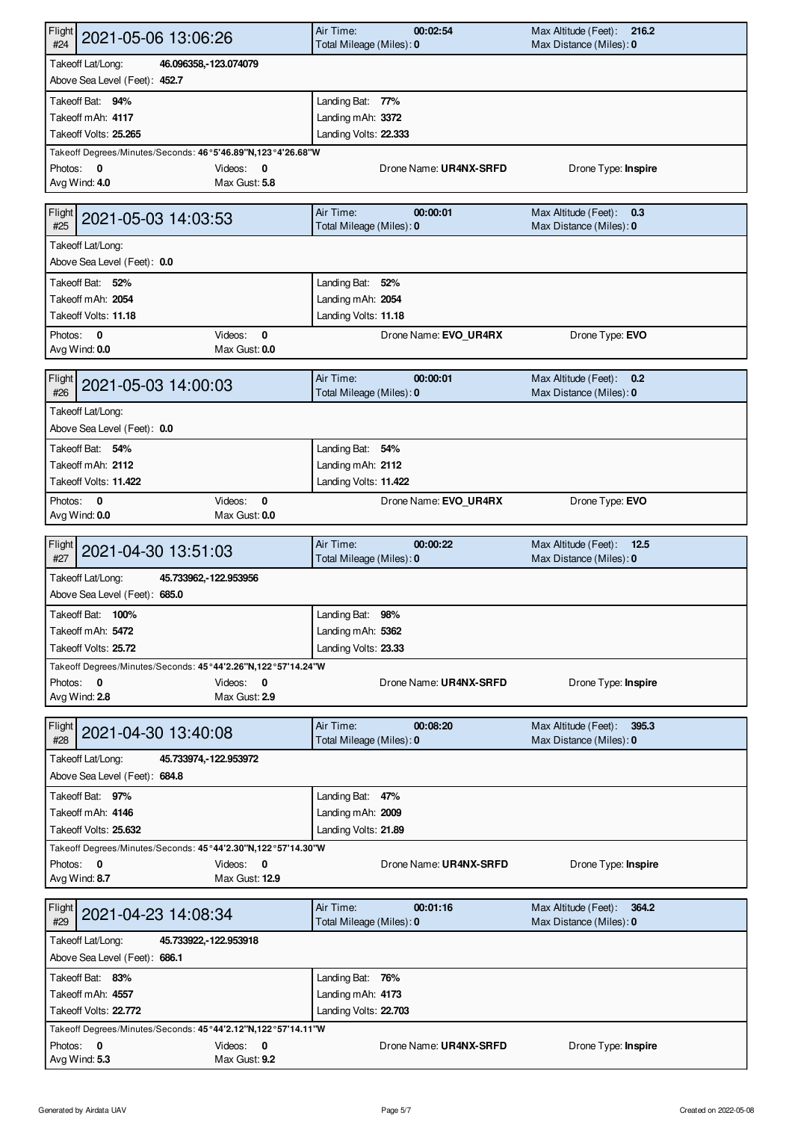| Flight<br>2021-05-06 13:06:26<br>#24                                                                                              | Air Time:<br>00:02:54<br>Total Mileage (Miles): 0 | Max Altitude (Feet):<br>216.2<br>Max Distance (Miles): 0 |
|-----------------------------------------------------------------------------------------------------------------------------------|---------------------------------------------------|----------------------------------------------------------|
| Takeoff Lat/Long:<br>46.096358, 123.074079<br>Above Sea Level (Feet): 452.7                                                       |                                                   |                                                          |
| Takeoff Bat: 94%                                                                                                                  | Landing Bat: 77%                                  |                                                          |
| Takeoff mAh: 4117                                                                                                                 | Landing mAh: 3372                                 |                                                          |
| Takeoff Volts: 25.265                                                                                                             | Landing Volts: 22.333                             |                                                          |
| Takeoff Degrees/Minutes/Seconds: 46°5'46.89"N,123°4'26.68"W<br>Photos: 0<br>Videos: $\mathbf 0$<br>Avg Wind: 4.0<br>Max Gust: 5.8 | Drone Name: UR4NX-SRFD                            | Drone Type: Inspire                                      |
|                                                                                                                                   |                                                   |                                                          |
| <b>Flight</b><br>2021-05-03 14:03:53<br>#25                                                                                       | Air Time:<br>00:00:01<br>Total Mileage (Miles): 0 | Max Altitude (Feet): 0.3<br>Max Distance (Miles): 0      |
| Takeoff Lat/Long:<br>Above Sea Level (Feet): 0.0                                                                                  |                                                   |                                                          |
| Takeoff Bat: 52%                                                                                                                  | Landing Bat: 52%                                  |                                                          |
| Takeoff mAh: 2054                                                                                                                 | Landing mAh: 2054                                 |                                                          |
| Takeoff Volts: 11.18                                                                                                              | Landing Volts: 11.18                              |                                                          |
| Photos: 0<br>Videos:<br>0<br>Avg Wind: 0.0<br>Max Gust: 0.0                                                                       | Drone Name: EVO_UR4RX                             | Drone Type: EVO                                          |
| Flight<br>2021-05-03 14:00:03<br>#26                                                                                              | Air Time:<br>00:00:01<br>Total Mileage (Miles): 0 | Max Altitude (Feet):<br>0.2<br>Max Distance (Miles): 0   |
| Takeoff Lat/Long:<br>Above Sea Level (Feet): 0.0                                                                                  |                                                   |                                                          |
| Takeoff Bat: 54%                                                                                                                  | Landing Bat: 54%                                  |                                                          |
| Takeoff mAh: 2112                                                                                                                 | Landing mAh: 2112                                 |                                                          |
| Takeoff Volts: 11.422                                                                                                             | Landing Volts: 11.422                             |                                                          |
| Videos:<br>$\mathbf 0$<br>Photos: 0<br>Avg Wind: 0.0<br>Max Gust: 0.0                                                             | Drone Name: EVO_UR4RX                             | Drone Type: EVO                                          |
| Flight<br>2021-04-30 13:51:03<br>#27                                                                                              | Air Time:<br>00:00:22<br>Total Mileage (Miles): 0 | Max Altitude (Feet):<br>12.5<br>Max Distance (Miles): 0  |
| Takeoff Lat/Long:<br>45.733962, 122.953956<br>Above Sea Level (Feet): 685.0                                                       |                                                   |                                                          |
| Takeoff Bat: 100%                                                                                                                 | Landing Bat: 98%                                  |                                                          |
| Takeoff mAh: 5472                                                                                                                 | Landing mAh: 5362                                 |                                                          |
| Takeoff Volts: 25.72                                                                                                              | Landing Volts: 23.33                              |                                                          |
| Takeoff Degrees/Minutes/Seconds: 45°44'2.26"N,122°57'14.24"W<br>Photos: 0<br>Videos: 0<br>Avg Wind: 2.8<br>Max Gust: 2.9          | Drone Name: UR4NX-SRFD                            | Drone Type: Inspire                                      |
|                                                                                                                                   |                                                   |                                                          |
| Flight<br>2021-04-30 13:40:08<br>#28                                                                                              | Air Time:<br>00:08:20<br>Total Mileage (Miles): 0 | 395.3<br>Max Altitude (Feet):<br>Max Distance (Miles): 0 |
| Takeoff Lat/Long:<br>45.733974, 122.953972                                                                                        |                                                   |                                                          |
| Above Sea Level (Feet): 684.8                                                                                                     |                                                   |                                                          |
| Takeoff Bat: 97%                                                                                                                  | Landing Bat: 47%                                  |                                                          |
| Takeoff mAh: 4146<br>Takeoff Volts: 25.632                                                                                        | Landing mAh: 2009<br>Landing Volts: 21.89         |                                                          |
| Takeoff Degrees/Minutes/Seconds: 45°44'2.30"N,122°57'14.30"W                                                                      |                                                   |                                                          |
| Photos: 0<br>Videos: 0                                                                                                            | Drone Name: UR4NX-SRFD                            | Drone Type: Inspire                                      |
| Avg Wind: 8.7<br>Max Gust: 12.9                                                                                                   |                                                   |                                                          |
| Flight                                                                                                                            | Air Time:<br>00:01:16                             | Max Altitude (Feet):<br>364.2                            |
| 2021-04-23 14:08:34<br>#29                                                                                                        | Total Mileage (Miles): 0                          | Max Distance (Miles): 0                                  |
| Takeoff Lat/Long:<br>45.733922, 122.953918                                                                                        |                                                   |                                                          |
| Above Sea Level (Feet): 686.1                                                                                                     |                                                   |                                                          |
| Takeoff Bat: 83%                                                                                                                  | Landing Bat: 76%                                  |                                                          |
| Takeoff mAh: 4557<br>Takeoff Volts: 22.772                                                                                        | Landing mAh: 4173<br>Landing Volts: 22.703        |                                                          |
| Takeoff Degrees/Minutes/Seconds: 45°44'2.12"N,122°57'14.11"W                                                                      |                                                   |                                                          |
| Photos: 0<br>Videos: 0                                                                                                            | Drone Name: UR4NX-SRFD                            | Drone Type: Inspire                                      |
| Avg Wind: 5.3<br>Max Gust: 9.2                                                                                                    |                                                   |                                                          |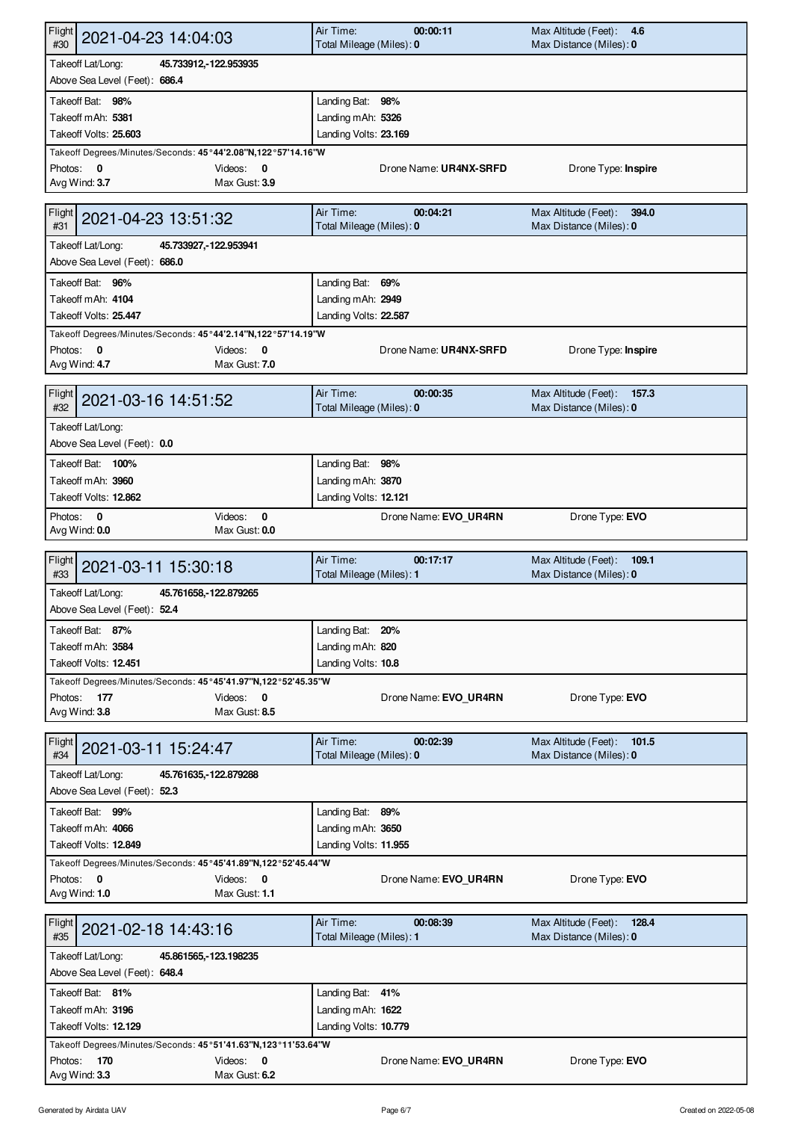| <b>Flight</b><br>2021-04-23 14:04:03<br>#30                                                      | Air Time:<br>00:00:11<br>Total Mileage (Miles): 0 | Max Altitude (Feet):<br>4.6<br>Max Distance (Miles): 0   |
|--------------------------------------------------------------------------------------------------|---------------------------------------------------|----------------------------------------------------------|
| Takeoff Lat/Long:<br>45.733912, - 122.953935                                                     |                                                   |                                                          |
| Above Sea Level (Feet): 686.4                                                                    |                                                   |                                                          |
| Takeoff Bat: 98%                                                                                 | Landing Bat: 98%                                  |                                                          |
| Takeoff mAh: 5381                                                                                | Landing mAh: 5326                                 |                                                          |
| Takeoff Volts: 25.603                                                                            | Landing Volts: 23.169                             |                                                          |
| Takeoff Degrees/Minutes/Seconds: 45°44'2.08"N,122°57'14.16"W<br>Photos: 0<br>Videos: $\mathbf 0$ | Drone Name: UR4NX-SRFD                            | Drone Type: Inspire                                      |
| Max Gust: 3.9<br>Avg Wind: 3.7                                                                   |                                                   |                                                          |
|                                                                                                  |                                                   |                                                          |
| <b>Flight</b><br>2021-04-23 13:51:32<br>#31                                                      | Air Time:<br>00:04:21<br>Total Mileage (Miles): 0 | Max Altitude (Feet):<br>394.0<br>Max Distance (Miles): 0 |
| Takeoff Lat/Long:<br>45.733927, -122.953941                                                      |                                                   |                                                          |
| Above Sea Level (Feet): 686.0                                                                    |                                                   |                                                          |
| Takeoff Bat: 96%                                                                                 | Landing Bat: 69%                                  |                                                          |
| Takeoff mAh: 4104                                                                                | Landing mAh: 2949                                 |                                                          |
| Takeoff Volts: 25.447                                                                            | Landing Volts: 22.587                             |                                                          |
| Takeoff Degrees/Minutes/Seconds: 45°44'2.14"N,122°57'14.19"W                                     |                                                   |                                                          |
| Photos: 0<br>Videos: $0$<br>Avg Wind: 4.7<br>Max Gust: 7.0                                       | Drone Name: UR4NX-SRFD                            | Drone Type: Inspire                                      |
|                                                                                                  |                                                   |                                                          |
| <b>Flight</b><br>2021-03-16 14:51:52                                                             | Air Time:<br>00:00:35                             | Max Altitude (Feet):<br>157.3                            |
| #32                                                                                              | Total Mileage (Miles): 0                          | Max Distance (Miles): 0                                  |
| Takeoff Lat/Long:                                                                                |                                                   |                                                          |
| Above Sea Level (Feet): 0.0                                                                      |                                                   |                                                          |
| Takeoff Bat: 100%                                                                                | Landing Bat: 98%                                  |                                                          |
| Takeoff mAh: 3960                                                                                | Landing mAh: 3870                                 |                                                          |
| Takeoff Volts: 12.862                                                                            | Landing Volts: 12.121                             |                                                          |
| Videos:<br>$\mathbf 0$<br>Photos: 0                                                              | Drone Name: EVO_UR4RN                             | Drone Type: EVO                                          |
| Avg Wind: 0.0<br>Max Gust: 0.0                                                                   |                                                   |                                                          |
| Flight<br>2021-03-11 15:30:18                                                                    | Air Time:<br>00:17:17                             | Max Altitude (Feet):<br>109.1                            |
| #33                                                                                              | Total Mileage (Miles): 1                          | Max Distance (Miles): 0                                  |
| Takeoff Lat/Long:<br>45.761658, 122.879265                                                       |                                                   |                                                          |
| Above Sea Level (Feet): 52.4                                                                     |                                                   |                                                          |
| Takeoff Bat: 87%                                                                                 | Landing Bat: 20%                                  |                                                          |
| Takeoff mAh: 3584                                                                                | Landing mAh: 820                                  |                                                          |
| Takeoff Volts: 12.451                                                                            | Landing Volts: 10.8                               |                                                          |
| Takeoff Degrees/Minutes/Seconds: 45°45'41.97"N,122°52'45.35"W                                    |                                                   |                                                          |
| Photos:<br>177<br>Videos: 0                                                                      | Drone Name: EVO_UR4RN                             | Drone Type: EVO                                          |
| Avg Wind: 3.8<br>Max Gust: 8.5                                                                   |                                                   |                                                          |
| Flight<br>2021-03-11 15:24:47<br>#34                                                             | Air Time:<br>00:02:39<br>Total Mileage (Miles): 0 | Max Altitude (Feet):<br>101.5<br>Max Distance (Miles): 0 |
|                                                                                                  |                                                   |                                                          |
| Takeoff Lat/Long:<br>45.761635, 122.879288<br>Above Sea Level (Feet): 52.3                       |                                                   |                                                          |
|                                                                                                  |                                                   |                                                          |
| Takeoff Bat: 99%<br>Takeoff mAh: 4066                                                            | Landing Bat: 89%                                  |                                                          |
| Takeoff Volts: 12.849                                                                            | Landing mAh: 3650<br>Landing Volts: 11.955        |                                                          |
| Takeoff Degrees/Minutes/Seconds: 45°45'41.89"N,122°52'45.44"W                                    |                                                   |                                                          |
| Photos: 0<br>Videos: 0                                                                           | Drone Name: EVO UR4RN                             | Drone Type: EVO                                          |
| Avg Wind: 1.0<br>Max Gust: 1.1                                                                   |                                                   |                                                          |
|                                                                                                  |                                                   |                                                          |
| Flight<br>2021-02-18 14:43:16                                                                    | Air Time:<br>00:08:39                             | Max Altitude (Feet): 128.4                               |
| #35                                                                                              | Total Mileage (Miles): 1                          | Max Distance (Miles): 0                                  |
| Takeoff Lat/Long:<br>45.861565, 123.198235                                                       |                                                   |                                                          |
| Above Sea Level (Feet): 648.4                                                                    |                                                   |                                                          |
| Takeoff Bat: 81%                                                                                 | Landing Bat: 41%                                  |                                                          |
| Takeoff mAh: 3196                                                                                | Landing mAh: 1622                                 |                                                          |
| Takeoff Volts: 12.129                                                                            | Landing Volts: 10.779                             |                                                          |
| Takeoff Degrees/Minutes/Seconds: 45°51'41.63"N,123°11'53.64"W<br>Photos:<br>170<br>Videos: 0     | Drone Name: EVO UR4RN                             | Drone Type: EVO                                          |